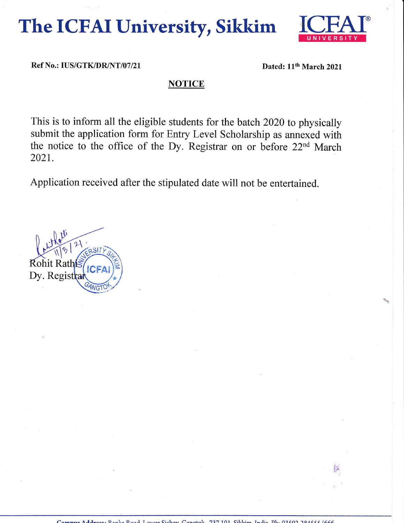The ICFAI University, Sikkim



Ref No.: IUS/GTK/DR/NT/07/21

Dated: 11<sup>th</sup> March 2021

## **NOTICE**

This is to inform all the eligible students for the batch 2020 to physically submit the application form for Entry Level Scholarship as annexed with the notice to the office of the Dy. Registrar on or before 22<sup>nd</sup> March 2021.

Application received after the stipulated date will not be entertained.

**Rohit Rath** Dy. Registra